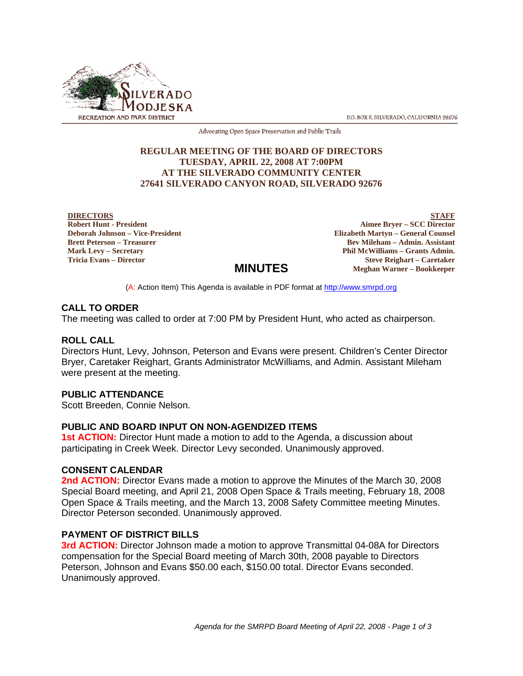

P.O. BOX 8, SILVERADO, CALIFORNIA 92676

Advocating Open Space Preservation and Public Trails

## **REGULAR MEETING OF THE BOARD OF DIRECTORS TUESDAY, APRIL 22, 2008 AT 7:00PM AT THE SILVERADO COMMUNITY CENTER 27641 SILVERADO CANYON ROAD, SILVERADO 92676**

**DIRECTORS Robert Hunt - President Deborah Johnson – Vice-President Brett Peterson – Treasurer Mark Levy – Secretary Tricia Evans – Director**

**STAFF Aimee Bryer – SCC Director Elizabeth Martyn – General Counsel Bev Mileham – Admin. Assistant Phil McWilliams – Grants Admin. Steve Reighart – Caretaker Meghan Warner – Bookkeeper**

(A: Action Item) This Agenda is available in PDF format at http://www.smrpd.org

**MINUTES**

## **CALL TO ORDER**

The meeting was called to order at 7:00 PM by President Hunt, who acted as chairperson.

### **ROLL CALL**

Directors Hunt, Levy, Johnson, Peterson and Evans were present. Children's Center Director Bryer, Caretaker Reighart, Grants Administrator McWilliams, and Admin. Assistant Mileham were present at the meeting.

### **PUBLIC ATTENDANCE**

Scott Breeden, Connie Nelson.

### **PUBLIC AND BOARD INPUT ON NON-AGENDIZED ITEMS**

**1st ACTION:** Director Hunt made a motion to add to the Agenda, a discussion about participating in Creek Week. Director Levy seconded. Unanimously approved.

### **CONSENT CALENDAR**

**2nd ACTION:** Director Evans made a motion to approve the Minutes of the March 30, 2008 Special Board meeting, and April 21, 2008 Open Space & Trails meeting, February 18, 2008 Open Space & Trails meeting, and the March 13, 2008 Safety Committee meeting Minutes. Director Peterson seconded. Unanimously approved.

#### **PAYMENT OF DISTRICT BILLS**

**3rd ACTION:** Director Johnson made a motion to approve Transmittal 04-08A for Directors compensation for the Special Board meeting of March 30th, 2008 payable to Directors Peterson, Johnson and Evans \$50.00 each, \$150.00 total. Director Evans seconded. Unanimously approved.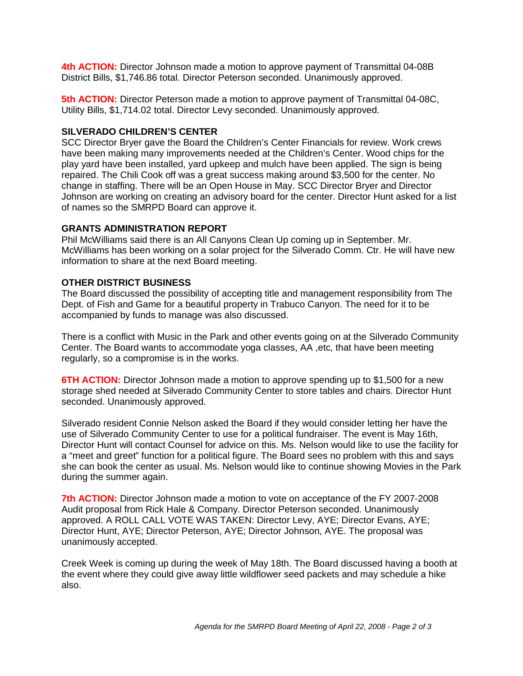**4th ACTION:** Director Johnson made a motion to approve payment of Transmittal 04-08B District Bills, \$1,746.86 total. Director Peterson seconded. Unanimously approved.

**5th ACTION:** Director Peterson made a motion to approve payment of Transmittal 04-08C, Utility Bills, \$1,714.02 total. Director Levy seconded. Unanimously approved.

# **SILVERADO CHILDREN'S CENTER**

SCC Director Bryer gave the Board the Children's Center Financials for review. Work crews have been making many improvements needed at the Children's Center. Wood chips for the play yard have been installed, yard upkeep and mulch have been applied. The sign is being repaired. The Chili Cook off was a great success making around \$3,500 for the center. No change in staffing. There will be an Open House in May. SCC Director Bryer and Director Johnson are working on creating an advisory board for the center. Director Hunt asked for a list of names so the SMRPD Board can approve it.

## **GRANTS ADMINISTRATION REPORT**

Phil McWilliams said there is an All Canyons Clean Up coming up in September. Mr. McWilliams has been working on a solar project for the Silverado Comm. Ctr. He will have new information to share at the next Board meeting.

## **OTHER DISTRICT BUSINESS**

The Board discussed the possibility of accepting title and management responsibility from The Dept. of Fish and Game for a beautiful property in Trabuco Canyon. The need for it to be accompanied by funds to manage was also discussed.

There is a conflict with Music in the Park and other events going on at the Silverado Community Center. The Board wants to accommodate yoga classes, AA ,etc, that have been meeting regularly, so a compromise is in the works.

**6TH ACTION:** Director Johnson made a motion to approve spending up to \$1,500 for a new storage shed needed at Silverado Community Center to store tables and chairs. Director Hunt seconded. Unanimously approved.

Silverado resident Connie Nelson asked the Board if they would consider letting her have the use of Silverado Community Center to use for a political fundraiser. The event is May 16th, Director Hunt will contact Counsel for advice on this. Ms. Nelson would like to use the facility for a "meet and greet" function for a political figure. The Board sees no problem with this and says she can book the center as usual. Ms. Nelson would like to continue showing Movies in the Park during the summer again.

**7th ACTION:** Director Johnson made a motion to vote on acceptance of the FY 2007-2008 Audit proposal from Rick Hale & Company. Director Peterson seconded. Unanimously approved. A ROLL CALL VOTE WAS TAKEN: Director Levy, AYE; Director Evans, AYE; Director Hunt, AYE; Director Peterson, AYE; Director Johnson, AYE. The proposal was unanimously accepted.

Creek Week is coming up during the week of May 18th. The Board discussed having a booth at the event where they could give away little wildflower seed packets and may schedule a hike also.